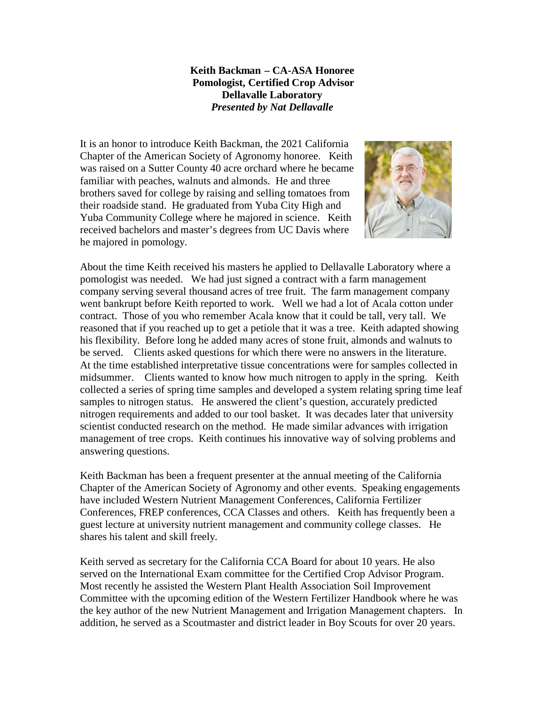## **Keith Backman – CA-ASA Honoree Pomologist, Certified Crop Advisor Dellavalle Laboratory** *Presented by Nat Dellavalle*

It is an honor to introduce Keith Backman, the 2021 California Chapter of the American Society of Agronomy honoree. Keith was raised on a Sutter County 40 acre orchard where he became familiar with peaches, walnuts and almonds. He and three brothers saved for college by raising and selling tomatoes from their roadside stand. He graduated from Yuba City High and Yuba Community College where he majored in science. Keith received bachelors and master's degrees from UC Davis where he majored in pomology.



About the time Keith received his masters he applied to Dellavalle Laboratory where a pomologist was needed. We had just signed a contract with a farm management company serving several thousand acres of tree fruit. The farm management company went bankrupt before Keith reported to work. Well we had a lot of Acala cotton under contract. Those of you who remember Acala know that it could be tall, very tall. We reasoned that if you reached up to get a petiole that it was a tree. Keith adapted showing his flexibility. Before long he added many acres of stone fruit, almonds and walnuts to be served. Clients asked questions for which there were no answers in the literature. At the time established interpretative tissue concentrations were for samples collected in midsummer. Clients wanted to know how much nitrogen to apply in the spring. Keith collected a series of spring time samples and developed a system relating spring time leaf samples to nitrogen status. He answered the client's question, accurately predicted nitrogen requirements and added to our tool basket. It was decades later that university scientist conducted research on the method. He made similar advances with irrigation management of tree crops. Keith continues his innovative way of solving problems and answering questions.

Keith Backman has been a frequent presenter at the annual meeting of the California Chapter of the American Society of Agronomy and other events. Speaking engagements have included Western Nutrient Management Conferences, California Fertilizer Conferences, FREP conferences, CCA Classes and others. Keith has frequently been a guest lecture at university nutrient management and community college classes. He shares his talent and skill freely.

Keith served as secretary for the California CCA Board for about 10 years. He also served on the International Exam committee for the Certified Crop Advisor Program. Most recently he assisted the Western Plant Health Association Soil Improvement Committee with the upcoming edition of the Western Fertilizer Handbook where he was the key author of the new Nutrient Management and Irrigation Management chapters. In addition, he served as a Scoutmaster and district leader in Boy Scouts for over 20 years.